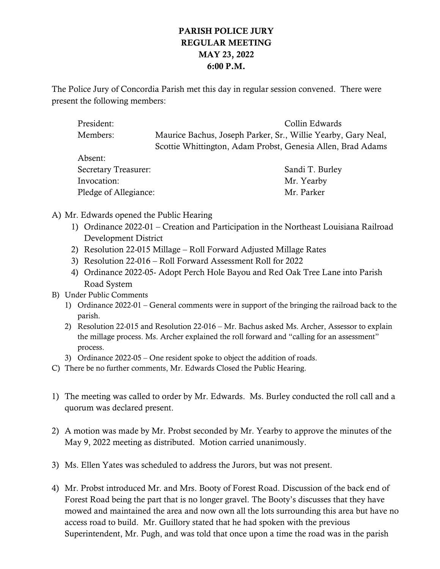# PARISH POLICE JURY REGULAR MEETING MAY 23, 2022 6:00 P.M.

The Police Jury of Concordia Parish met this day in regular session convened. There were present the following members:

| President:                  | Collin Edwards                                                |
|-----------------------------|---------------------------------------------------------------|
| Members:                    | Maurice Bachus, Joseph Parker, Sr., Willie Yearby, Gary Neal, |
|                             | Scottie Whittington, Adam Probst, Genesia Allen, Brad Adams   |
| Absent:                     |                                                               |
| <b>Secretary Treasurer:</b> | Sandi T. Burley                                               |
| Invocation:                 | Mr. Yearby                                                    |
| Pledge of Allegiance:       | Mr. Parker                                                    |

A) Mr. Edwards opened the Public Hearing

- 1) Ordinance 2022-01 Creation and Participation in the Northeast Louisiana Railroad Development District
- 2) Resolution 22-015 Millage Roll Forward Adjusted Millage Rates
- 3) Resolution 22-016 Roll Forward Assessment Roll for 2022
- 4) Ordinance 2022-05- Adopt Perch Hole Bayou and Red Oak Tree Lane into Parish Road System
- B) Under Public Comments
	- 1) Ordinance 2022-01 General comments were in support of the bringing the railroad back to the parish.
	- 2) Resolution 22-015 and Resolution 22-016 Mr. Bachus asked Ms. Archer, Assessor to explain the millage process. Ms. Archer explained the roll forward and "calling for an assessment" process.
	- 3) Ordinance 2022-05 One resident spoke to object the addition of roads.
- C) There be no further comments, Mr. Edwards Closed the Public Hearing.
- 1) The meeting was called to order by Mr. Edwards. Ms. Burley conducted the roll call and a quorum was declared present.
- 2) A motion was made by Mr. Probst seconded by Mr. Yearby to approve the minutes of the May 9, 2022 meeting as distributed. Motion carried unanimously.
- 3) Ms. Ellen Yates was scheduled to address the Jurors, but was not present.
- 4) Mr. Probst introduced Mr. and Mrs. Booty of Forest Road. Discussion of the back end of Forest Road being the part that is no longer gravel. The Booty's discusses that they have mowed and maintained the area and now own all the lots surrounding this area but have no access road to build. Mr. Guillory stated that he had spoken with the previous Superintendent, Mr. Pugh, and was told that once upon a time the road was in the parish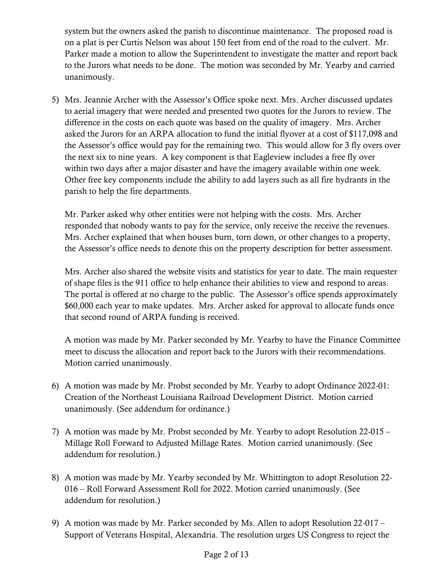system but the owners asked the parish to discontinue maintenance. The proposed road is on a plat is per Curtis Nelson was about 150 feet from end of the road to the culvert. Mr. Parker made a motion to allow the Superintendent to investigate the matter and report back to the Jurors what needs to be done. The motion was seconded by Mr. Yearby and carried unanimously.

5) Mrs. Jeannie Archer with the Assessor's Office spoke next. Mrs. Archer discussed updates to aerial imagery that were needed and presented two quotes for the Jurors to review. The difference in the costs on each quote was based on the quality of imagery. Mrs. Archer asked the Jurors for an ARPA allocation to fund the initial flyover at a cost of \$117,098 and the Assessor's office would pay for the remaining two. This would allow for 3 fly overs over the next six to nine years. A key component is that Eagleview includes a free fly over within two days after a major disaster and have the imagery available within one week. Other free key components include the ability to add layers such as all fire hydrants in the parish to help the fire departments.

Mr. Parker asked why other entities were not helping with the costs. Mrs. Archer responded that nobody wants to pay for the service, only receive the receive the revenues. Mrs. Archer explained that when houses burn, torn down, or other changes to a property, the Assessor's office needs to denote this on the property description for better assessment.

Mrs. Archer also shared the website visits and statistics for year to date. The main requester of shape files is the 911 office to help enhance their abilities to view and respond to areas. The portal is offered at no charge to the public. The Assessor's office spends approximately \$60,000 each year to make updates. Mrs. Archer asked for approval to allocate funds once that second round of ARPA funding is received.

A motion was made by Mr. Parker seconded by Mr. Yearby to have the Finance Committee meet to discuss the allocation and report back to the Jurors with their recommendations. Motion carried unanimously.

- 6) A motion was made by Mr. Probst seconded by Mr. Yearby to adopt Ordinance 2022-01: Creation of the Northeast Louisiana Railroad Development District. Motion carried unanimously. (See addendum for ordinance.)
- 7) A motion was made by Mr. Probst seconded by Mr. Yearby to adopt Resolution 22-015 Millage Roll Forward to Adjusted Millage Rates. Motion carried unanimously. (See addendum for resolution.)
- 8) A motion was made by Mr. Yearby seconded by Mr. Whittington to adopt Resolution 22- 016 – Roll Forward Assessment Roll for 2022. Motion carried unanimously. (See addendum for resolution.)
- 9) A motion was made by Mr. Parker seconded by Ms. Allen to adopt Resolution 22-017 Support of Veterans Hospital, Alexandria. The resolution urges US Congress to reject the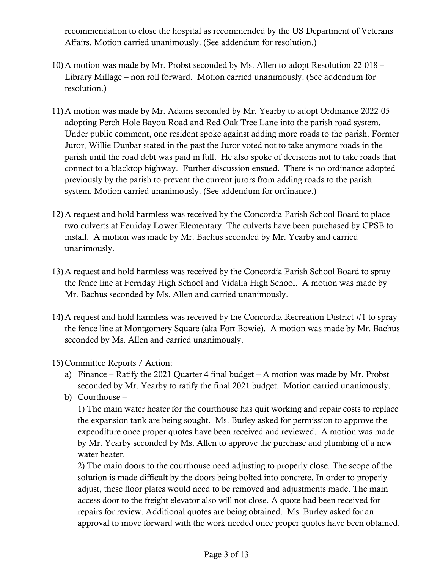recommendation to close the hospital as recommended by the US Department of Veterans Affairs. Motion carried unanimously. (See addendum for resolution.)

- 10) A motion was made by Mr. Probst seconded by Ms. Allen to adopt Resolution 22-018 Library Millage – non roll forward. Motion carried unanimously. (See addendum for resolution.)
- 11) A motion was made by Mr. Adams seconded by Mr. Yearby to adopt Ordinance 2022-05 adopting Perch Hole Bayou Road and Red Oak Tree Lane into the parish road system. Under public comment, one resident spoke against adding more roads to the parish. Former Juror, Willie Dunbar stated in the past the Juror voted not to take anymore roads in the parish until the road debt was paid in full. He also spoke of decisions not to take roads that connect to a blacktop highway. Further discussion ensued. There is no ordinance adopted previously by the parish to prevent the current jurors from adding roads to the parish system. Motion carried unanimously. (See addendum for ordinance.)
- 12) A request and hold harmless was received by the Concordia Parish School Board to place two culverts at Ferriday Lower Elementary. The culverts have been purchased by CPSB to install. A motion was made by Mr. Bachus seconded by Mr. Yearby and carried unanimously.
- 13) A request and hold harmless was received by the Concordia Parish School Board to spray the fence line at Ferriday High School and Vidalia High School. A motion was made by Mr. Bachus seconded by Ms. Allen and carried unanimously.
- 14) A request and hold harmless was received by the Concordia Recreation District #1 to spray the fence line at Montgomery Square (aka Fort Bowie). A motion was made by Mr. Bachus seconded by Ms. Allen and carried unanimously.
- 15) Committee Reports / Action:
	- a) Finance Ratify the 2021 Quarter 4 final budget A motion was made by Mr. Probst seconded by Mr. Yearby to ratify the final 2021 budget. Motion carried unanimously.
	- b) Courthouse –

1) The main water heater for the courthouse has quit working and repair costs to replace the expansion tank are being sought. Ms. Burley asked for permission to approve the expenditure once proper quotes have been received and reviewed. A motion was made by Mr. Yearby seconded by Ms. Allen to approve the purchase and plumbing of a new water heater.

2) The main doors to the courthouse need adjusting to properly close. The scope of the solution is made difficult by the doors being bolted into concrete. In order to properly adjust, these floor plates would need to be removed and adjustments made. The main access door to the freight elevator also will not close. A quote had been received for repairs for review. Additional quotes are being obtained. Ms. Burley asked for an approval to move forward with the work needed once proper quotes have been obtained.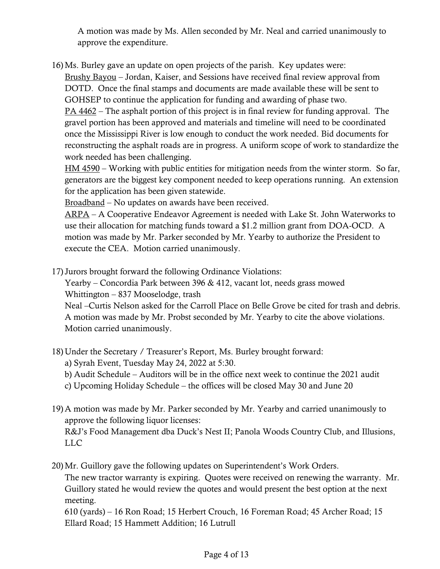A motion was made by Ms. Allen seconded by Mr. Neal and carried unanimously to approve the expenditure.

16)Ms. Burley gave an update on open projects of the parish. Key updates were:

Brushy Bayou – Jordan, Kaiser, and Sessions have received final review approval from DOTD. Once the final stamps and documents are made available these will be sent to GOHSEP to continue the application for funding and awarding of phase two.

PA 4462 – The asphalt portion of this project is in final review for funding approval. The gravel portion has been approved and materials and timeline will need to be coordinated once the Mississippi River is low enough to conduct the work needed. Bid documents for reconstructing the asphalt roads are in progress. A uniform scope of work to standardize the work needed has been challenging.

HM 4590 – Working with public entities for mitigation needs from the winter storm. So far, generators are the biggest key component needed to keep operations running. An extension for the application has been given statewide.

Broadband – No updates on awards have been received.

ARPA – A Cooperative Endeavor Agreement is needed with Lake St. John Waterworks to use their allocation for matching funds toward a \$1.2 million grant from DOA-OCD. A motion was made by Mr. Parker seconded by Mr. Yearby to authorize the President to execute the CEA. Motion carried unanimously.

- 17) Jurors brought forward the following Ordinance Violations:
	- Yearby Concordia Park between 396 & 412, vacant lot, needs grass mowed Whittington – 837 Mooselodge, trash

Neal –Curtis Nelson asked for the Carroll Place on Belle Grove be cited for trash and debris. A motion was made by Mr. Probst seconded by Mr. Yearby to cite the above violations. Motion carried unanimously.

- 18) Under the Secretary / Treasurer's Report, Ms. Burley brought forward:
	- a) Syrah Event, Tuesday May 24, 2022 at 5:30.
	- b) Audit Schedule Auditors will be in the office next week to continue the 2021 audit
	- c) Upcoming Holiday Schedule the offices will be closed May 30 and June 20
- 19) A motion was made by Mr. Parker seconded by Mr. Yearby and carried unanimously to approve the following liquor licenses: R&J's Food Management dba Duck's Nest II; Panola Woods Country Club, and Illusions, LLC
- 20)Mr. Guillory gave the following updates on Superintendent's Work Orders.

The new tractor warranty is expiring. Quotes were received on renewing the warranty. Mr. Guillory stated he would review the quotes and would present the best option at the next meeting.

610 (yards) – 16 Ron Road; 15 Herbert Crouch, 16 Foreman Road; 45 Archer Road; 15 Ellard Road; 15 Hammett Addition; 16 Lutrull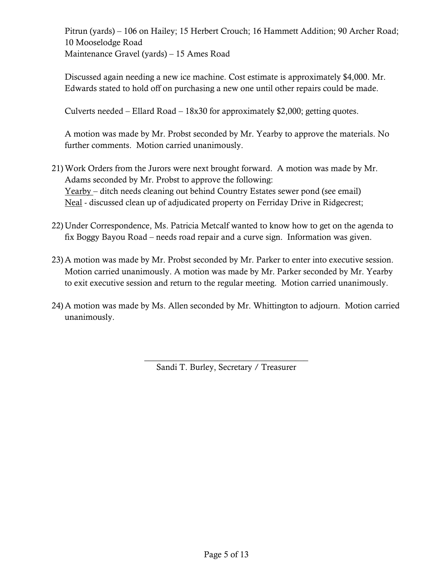Pitrun (yards) – 106 on Hailey; 15 Herbert Crouch; 16 Hammett Addition; 90 Archer Road; 10 Mooselodge Road Maintenance Gravel (yards) – 15 Ames Road

Discussed again needing a new ice machine. Cost estimate is approximately \$4,000. Mr. Edwards stated to hold off on purchasing a new one until other repairs could be made.

Culverts needed – Ellard Road – 18x30 for approximately \$2,000; getting quotes.

A motion was made by Mr. Probst seconded by Mr. Yearby to approve the materials. No further comments. Motion carried unanimously.

- 21)Work Orders from the Jurors were next brought forward. A motion was made by Mr. Adams seconded by Mr. Probst to approve the following: Yearby – ditch needs cleaning out behind Country Estates sewer pond (see email) Neal - discussed clean up of adjudicated property on Ferriday Drive in Ridgecrest;
- 22) Under Correspondence, Ms. Patricia Metcalf wanted to know how to get on the agenda to fix Boggy Bayou Road – needs road repair and a curve sign. Information was given.
- 23) A motion was made by Mr. Probst seconded by Mr. Parker to enter into executive session. Motion carried unanimously. A motion was made by Mr. Parker seconded by Mr. Yearby to exit executive session and return to the regular meeting. Motion carried unanimously.
- 24) A motion was made by Ms. Allen seconded by Mr. Whittington to adjourn. Motion carried unanimously.

 $\frac{1}{2}$  , and the set of the set of the set of the set of the set of the set of the set of the set of the set of the set of the set of the set of the set of the set of the set of the set of the set of the set of the set Sandi T. Burley, Secretary / Treasurer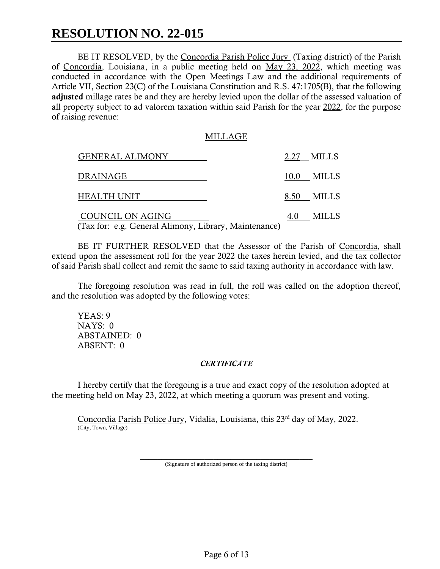# **RESOLUTION NO. 22-015**

BE IT RESOLVED, by the Concordia Parish Police Jury (Taxing district) of the Parish of Concordia, Louisiana, in a public meeting held on May 23, 2022, which meeting was conducted in accordance with the Open Meetings Law and the additional requirements of Article VII, Section 23(C) of the Louisiana Constitution and R.S. 47:1705(B), that the following adjusted millage rates be and they are hereby levied upon the dollar of the assessed valuation of all property subject to ad valorem taxation within said Parish for the year 2022, for the purpose of raising revenue:

#### MILLAGE

| <b>GENERAL ALIMONY</b>                                                    | 2.27 MILLS |
|---------------------------------------------------------------------------|------------|
| DRAINAGE                                                                  | 10.0 MILLS |
| <b>HEALTH UNIT</b>                                                        | 8.50 MILLS |
| COUNCIL ON AGING<br>(Tax for: e.g. General Alimony, Library, Maintenance) | 4.0 MILLS  |

BE IT FURTHER RESOLVED that the Assessor of the Parish of Concordia, shall extend upon the assessment roll for the year 2022 the taxes herein levied, and the tax collector of said Parish shall collect and remit the same to said taxing authority in accordance with law.

The foregoing resolution was read in full, the roll was called on the adoption thereof, and the resolution was adopted by the following votes:

YEAS: 9 NAYS: 0 ABSTAINED: 0 ABSENT: 0

#### *CERTIFICATE*

I hereby certify that the foregoing is a true and exact copy of the resolution adopted at the meeting held on May 23, 2022, at which meeting a quorum was present and voting.

Concordia Parish Police Jury, Vidalia, Louisiana, this 23rd day of May, 2022. (City, Town, Village)

> \_\_\_\_\_\_\_\_\_\_\_\_\_\_\_\_\_\_\_\_\_\_\_\_\_\_\_\_\_\_\_\_\_\_\_\_\_\_\_\_ (Signature of authorized person of the taxing district)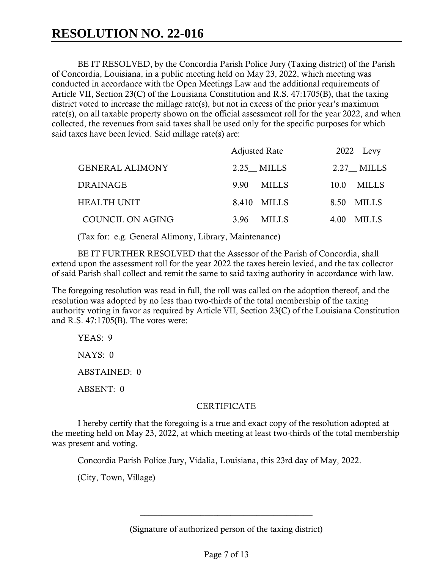BE IT RESOLVED, by the Concordia Parish Police Jury (Taxing district) of the Parish of Concordia, Louisiana, in a public meeting held on May 23, 2022, which meeting was conducted in accordance with the Open Meetings Law and the additional requirements of Article VII, Section 23(C) of the Louisiana Constitution and R.S. 47:1705(B), that the taxing district voted to increase the millage rate(s), but not in excess of the prior year's maximum rate(s), on all taxable property shown on the official assessment roll for the year 2022, and when collected, the revenues from said taxes shall be used only for the specific purposes for which said taxes have been levied. Said millage rate(s) are:

|                        | <b>Adjusted Rate</b> |              | 2022 Levy |              |
|------------------------|----------------------|--------------|-----------|--------------|
| <b>GENERAL ALIMONY</b> |                      | 2.25 MILLS   |           | 2.27 MILLS   |
| <b>DRAINAGE</b>        | 9.90                 | <b>MILLS</b> | 10.0      | <b>MILLS</b> |
| <b>HEALTH UNIT</b>     | 8.410                | <b>MILLS</b> | 8.50      | MILLS        |
| COUNCIL ON AGING       | 3.96                 | MILLS        | 4.00      | MILLS        |

(Tax for: e.g. General Alimony, Library, Maintenance)

BE IT FURTHER RESOLVED that the Assessor of the Parish of Concordia, shall extend upon the assessment roll for the year 2022 the taxes herein levied, and the tax collector of said Parish shall collect and remit the same to said taxing authority in accordance with law.

The foregoing resolution was read in full, the roll was called on the adoption thereof, and the resolution was adopted by no less than two-thirds of the total membership of the taxing authority voting in favor as required by Article VII, Section 23(C) of the Louisiana Constitution and R.S. 47:1705(B). The votes were:

YEAS: 9 NAYS: 0 ABSTAINED: 0 ABSENT: 0

# **CERTIFICATE**

I hereby certify that the foregoing is a true and exact copy of the resolution adopted at the meeting held on May 23, 2022, at which meeting at least two-thirds of the total membership was present and voting.

Concordia Parish Police Jury, Vidalia, Louisiana, this 23rd day of May, 2022.

(City, Town, Village)

(Signature of authorized person of the taxing district)

\_\_\_\_\_\_\_\_\_\_\_\_\_\_\_\_\_\_\_\_\_\_\_\_\_\_\_\_\_\_\_\_\_\_\_\_\_\_\_\_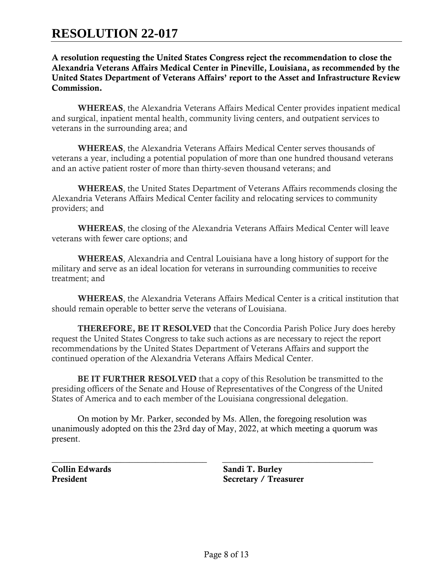# **RESOLUTION 22-017**

A resolution requesting the United States Congress reject the recommendation to close the Alexandria Veterans Affairs Medical Center in Pineville, Louisiana, as recommended by the United States Department of Veterans Affairs' report to the Asset and Infrastructure Review Commission.

WHEREAS, the Alexandria Veterans Affairs Medical Center provides inpatient medical and surgical, inpatient mental health, community living centers, and outpatient services to veterans in the surrounding area; and

WHEREAS, the Alexandria Veterans Affairs Medical Center serves thousands of veterans a year, including a potential population of more than one hundred thousand veterans and an active patient roster of more than thirty-seven thousand veterans; and

WHEREAS, the United States Department of Veterans Affairs recommends closing the Alexandria Veterans Affairs Medical Center facility and relocating services to community providers; and

WHEREAS, the closing of the Alexandria Veterans Affairs Medical Center will leave veterans with fewer care options; and

WHEREAS, Alexandria and Central Louisiana have a long history of support for the military and serve as an ideal location for veterans in surrounding communities to receive treatment; and

WHEREAS, the Alexandria Veterans Affairs Medical Center is a critical institution that should remain operable to better serve the veterans of Louisiana.

THEREFORE, BE IT RESOLVED that the Concordia Parish Police Jury does hereby request the United States Congress to take such actions as are necessary to reject the report recommendations by the United States Department of Veterans Affairs and support the continued operation of the Alexandria Veterans Affairs Medical Center.

BE IT FURTHER RESOLVED that a copy of this Resolution be transmitted to the presiding officers of the Senate and House of Representatives of the Congress of the United States of America and to each member of the Louisiana congressional delegation.

On motion by Mr. Parker, seconded by Ms. Allen, the foregoing resolution was unanimously adopted on this the 23rd day of May, 2022, at which meeting a quorum was present.

\_\_\_\_\_\_\_\_\_\_\_\_\_\_\_\_\_\_\_\_\_\_\_\_\_\_\_\_\_\_\_\_\_\_\_\_ \_\_\_\_\_\_\_\_\_\_\_\_\_\_\_\_\_\_\_\_\_\_\_\_\_\_\_\_\_\_\_\_\_\_\_

Collin Edwards Sandi T. Burley President Secretary / Treasurer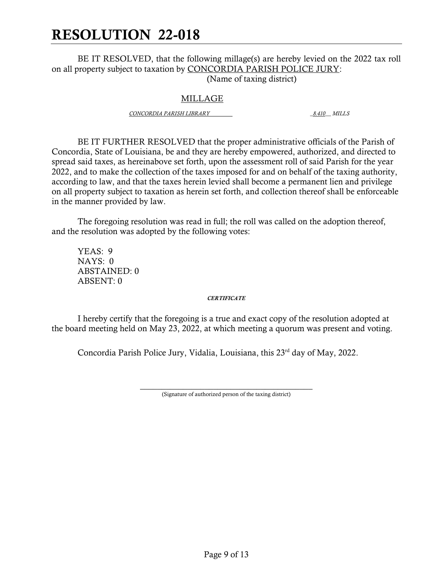# RESOLUTION 22-018

BE IT RESOLVED, that the following millage(s) are hereby levied on the 2022 tax roll on all property subject to taxation by CONCORDIA PARISH POLICE JURY: (Name of taxing district)

### MILLAGE

*CONCORDIA PARISH LIBRARY \_8.410\_\_ MILLS*

BE IT FURTHER RESOLVED that the proper administrative officials of the Parish of Concordia, State of Louisiana, be and they are hereby empowered, authorized, and directed to spread said taxes, as hereinabove set forth, upon the assessment roll of said Parish for the year 2022, and to make the collection of the taxes imposed for and on behalf of the taxing authority, according to law, and that the taxes herein levied shall become a permanent lien and privilege on all property subject to taxation as herein set forth, and collection thereof shall be enforceable in the manner provided by law.

The foregoing resolution was read in full; the roll was called on the adoption thereof, and the resolution was adopted by the following votes:

YEAS: 9 NAYS: 0 ABSTAINED: 0 ABSENT: 0

#### *CERTIFICATE*

I hereby certify that the foregoing is a true and exact copy of the resolution adopted at the board meeting held on May 23, 2022, at which meeting a quorum was present and voting.

Concordia Parish Police Jury, Vidalia, Louisiana, this 23<sup>rd</sup> day of May, 2022.

 $\frac{1}{2}$  , and the set of the set of the set of the set of the set of the set of the set of the set of the set of the set of the set of the set of the set of the set of the set of the set of the set of the set of the set (Signature of authorized person of the taxing district)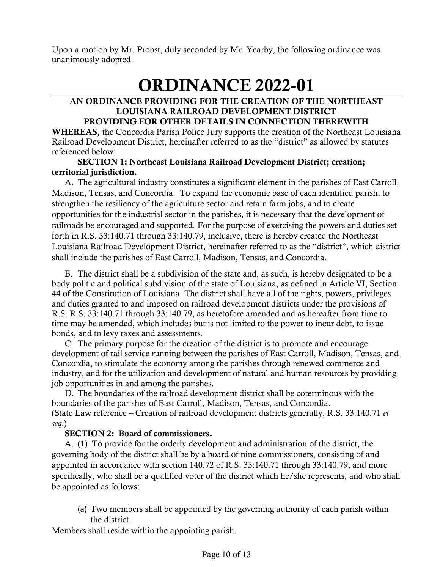Upon a motion by Mr. Probst, duly seconded by Mr. Yearby, the following ordinance was unanimously adopted.

# ORDINANCE 2022-01

#### AN ORDINANCE PROVIDING FOR THE CREATION OF THE NORTHEAST LOUISIANA RAILROAD DEVELOPMENT DISTRICT PROVIDING FOR OTHER DETAILS IN CONNECTION THEREWITH

WHEREAS, the Concordia Parish Police Jury supports the creation of the Northeast Louisiana Railroad Development District, hereinafter referred to as the "district" as allowed by statutes referenced below;

## SECTION 1: Northeast Louisiana Railroad Development District; creation; territorial jurisdiction.

A. The agricultural industry constitutes a significant element in the parishes of East Carroll, Madison, Tensas, and Concordia. To expand the economic base of each identified parish, to strengthen the resiliency of the agriculture sector and retain farm jobs, and to create opportunities for the industrial sector in the parishes, it is necessary that the development of railroads be encouraged and supported. For the purpose of exercising the powers and duties set forth in R.S. 33:140.71 through 33:140.79, inclusive, there is hereby created the Northeast Louisiana Railroad Development District, hereinafter referred to as the "district", which district shall include the parishes of East Carroll, Madison, Tensas, and Concordia.

B. The district shall be a subdivision of the state and, as such, is hereby designated to be a body politic and political subdivision of the state of Louisiana, as defined in Article VI, Section 44 of the Constitution of Louisiana. The district shall have all of the rights, powers, privileges and duties granted to and imposed on railroad development districts under the provisions of R.S. R.S. 33:140.71 through 33:140.79, as heretofore amended and as hereafter from time to time may be amended, which includes but is not limited to the power to incur debt, to issue bonds, and to levy taxes and assessments.

C. The primary purpose for the creation of the district is to promote and encourage development of rail service running between the parishes of East Carroll, Madison, Tensas, and Concordia, to stimulate the economy among the parishes through renewed commerce and industry, and for the utilization and development of natural and human resources by providing job opportunities in and among the parishes.

D. The boundaries of the railroad development district shall be coterminous with the boundaries of the parishes of East Carroll, Madison, Tensas, and Concordia. (State Law reference – Creation of railroad development districts generally, R.S. 33:140.71 *et seq*.)

# SECTION 2: Board of commissioners.

A. (1) To provide for the orderly development and administration of the district, the governing body of the district shall be by a board of nine commissioners, consisting of and appointed in accordance with section 140.72 of R.S. 33:140.71 through 33:140.79, and more specifically, who shall be a qualified voter of the district which he/she represents, and who shall be appointed as follows:

(a) Two members shall be appointed by the governing authority of each parish within the district.

Members shall reside within the appointing parish.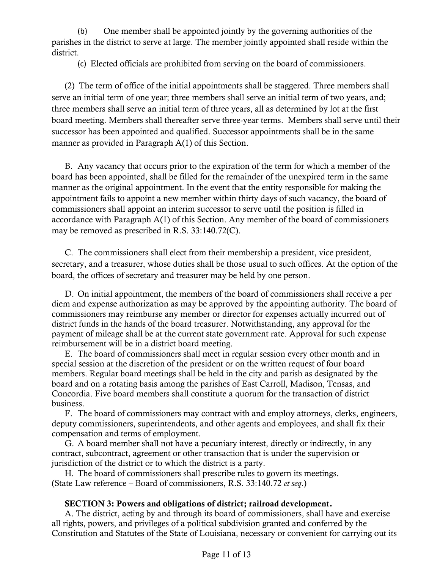(b) One member shall be appointed jointly by the governing authorities of the parishes in the district to serve at large. The member jointly appointed shall reside within the district.

(c) Elected officials are prohibited from serving on the board of commissioners.

(2) The term of office of the initial appointments shall be staggered. Three members shall serve an initial term of one year; three members shall serve an initial term of two years, and; three members shall serve an initial term of three years, all as determined by lot at the first board meeting. Members shall thereafter serve three-year terms. Members shall serve until their successor has been appointed and qualified. Successor appointments shall be in the same manner as provided in Paragraph A(1) of this Section.

B. Any vacancy that occurs prior to the expiration of the term for which a member of the board has been appointed, shall be filled for the remainder of the unexpired term in the same manner as the original appointment. In the event that the entity responsible for making the appointment fails to appoint a new member within thirty days of such vacancy, the board of commissioners shall appoint an interim successor to serve until the position is filled in accordance with Paragraph A(1) of this Section. Any member of the board of commissioners may be removed as prescribed in R.S. 33:140.72(C).

C. The commissioners shall elect from their membership a president, vice president, secretary, and a treasurer, whose duties shall be those usual to such offices. At the option of the board, the offices of secretary and treasurer may be held by one person.

D. On initial appointment, the members of the board of commissioners shall receive a per diem and expense authorization as may be approved by the appointing authority. The board of commissioners may reimburse any member or director for expenses actually incurred out of district funds in the hands of the board treasurer. Notwithstanding, any approval for the payment of mileage shall be at the current state government rate. Approval for such expense reimbursement will be in a district board meeting.

E. The board of commissioners shall meet in regular session every other month and in special session at the discretion of the president or on the written request of four board members. Regular board meetings shall be held in the city and parish as designated by the board and on a rotating basis among the parishes of East Carroll, Madison, Tensas, and Concordia. Five board members shall constitute a quorum for the transaction of district business.

F. The board of commissioners may contract with and employ attorneys, clerks, engineers, deputy commissioners, superintendents, and other agents and employees, and shall fix their compensation and terms of employment.

G. A board member shall not have a pecuniary interest, directly or indirectly, in any contract, subcontract, agreement or other transaction that is under the supervision or jurisdiction of the district or to which the district is a party.

H. The board of commissioners shall prescribe rules to govern its meetings. (State Law reference – Board of commissioners, R.S. 33:140.72 *et seq*.)

# SECTION 3: Powers and obligations of district; railroad development.

A. The district, acting by and through its board of commissioners, shall have and exercise all rights, powers, and privileges of a political subdivision granted and conferred by the Constitution and Statutes of the State of Louisiana, necessary or convenient for carrying out its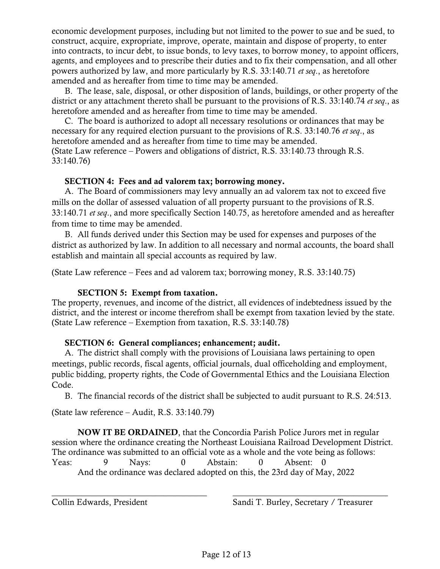economic development purposes, including but not limited to the power to sue and be sued, to construct, acquire, expropriate, improve, operate, maintain and dispose of property, to enter into contracts, to incur debt, to issue bonds, to levy taxes, to borrow money, to appoint officers, agents, and employees and to prescribe their duties and to fix their compensation, and all other powers authorized by law, and more particularly by R.S. 33:140.71 *et seq*., as heretofore amended and as hereafter from time to time may be amended.

B. The lease, sale, disposal, or other disposition of lands, buildings, or other property of the district or any attachment thereto shall be pursuant to the provisions of R.S. 33:140.74 *et seq*., as heretofore amended and as hereafter from time to time may be amended.

C. The board is authorized to adopt all necessary resolutions or ordinances that may be necessary for any required election pursuant to the provisions of R.S. 33:140.76 *et seq*., as heretofore amended and as hereafter from time to time may be amended. (State Law reference – Powers and obligations of district, R.S. 33:140.73 through R.S. 33:140.76)

#### SECTION 4: Fees and ad valorem tax; borrowing money.

A. The Board of commissioners may levy annually an ad valorem tax not to exceed five mills on the dollar of assessed valuation of all property pursuant to the provisions of R.S. 33:140.71 *et seq*., and more specifically Section 140.75, as heretofore amended and as hereafter from time to time may be amended.

B. All funds derived under this Section may be used for expenses and purposes of the district as authorized by law. In addition to all necessary and normal accounts, the board shall establish and maintain all special accounts as required by law.

(State Law reference – Fees and ad valorem tax; borrowing money, R.S. 33:140.75)

# SECTION 5: Exempt from taxation.

The property, revenues, and income of the district, all evidences of indebtedness issued by the district, and the interest or income therefrom shall be exempt from taxation levied by the state. (State Law reference – Exemption from taxation, R.S. 33:140.78)

#### SECTION 6: General compliances; enhancement; audit.

A. The district shall comply with the provisions of Louisiana laws pertaining to open meetings, public records, fiscal agents, official journals, dual officeholding and employment, public bidding, property rights, the Code of Governmental Ethics and the Louisiana Election Code.

B. The financial records of the district shall be subjected to audit pursuant to R.S. 24:513.

(State law reference – Audit, R.S. 33:140.79)

NOW IT BE ORDAINED, that the Concordia Parish Police Jurors met in regular session where the ordinance creating the Northeast Louisiana Railroad Development District. The ordinance was submitted to an official vote as a whole and the vote being as follows: Yeas: 9 Nays: 0 Abstain: 0 Absent: 0 And the ordinance was declared adopted on this, the 23rd day of May, 2022

\_\_\_\_\_\_\_\_\_\_\_\_\_\_\_\_\_\_\_\_\_\_\_\_\_\_\_\_\_\_\_\_\_\_\_\_ \_\_\_\_\_\_\_\_\_\_\_\_\_\_\_\_\_\_\_\_\_\_\_\_\_\_\_\_\_\_\_\_\_\_\_\_

Collin Edwards, President Sandi T. Burley, Secretary / Treasurer